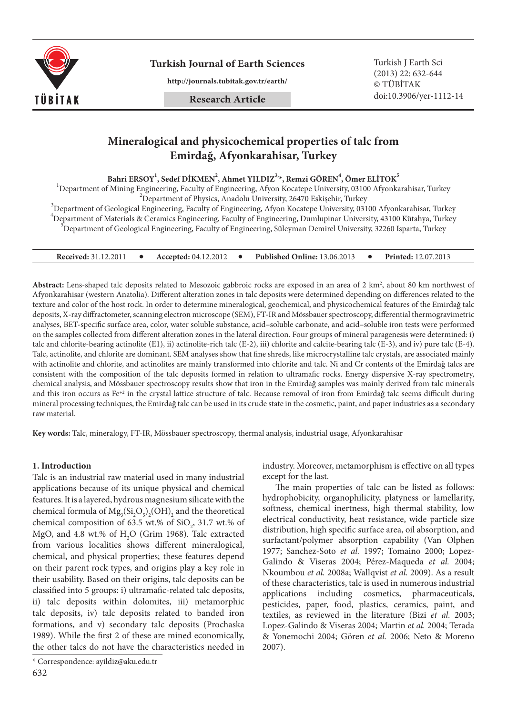

**Turkish Journal of Earth Sciences** Turkish J Earth Sci

**http://journals.tubitak.gov.tr/earth/**

**Research Article**

(2013) 22: 632-644 © TÜBİTAK doi:10.3906/yer-1112-14

# **Mineralogical and physicochemical properties of talc from Emirdağ, Afyonkarahisar, Turkey**

 $\texttt{Bahri ERSOY}^1, \texttt{Sedef DIKMEN}^2, \texttt{Ahmet YILDIZ}^{3,\star}, \texttt{Remzi GÖREN}^4, \texttt{Ömer ELITOK}^5$ 

<sup>1</sup>Department of Mining Engineering, Faculty of Engineering, Afyon Kocatepe University, 03100 Afyonkarahisar, Turkey

"Department of Physics, Anadolu University, 26470 Eskişehir, Turkey<br>19 Department of Geological Engineering, Faculty of Engineering, Afyon Kocatepe University, 03100 Afyonkarahisar, Turkey <sup>4</sup> Department of Materials & Ceramics Engineering, Faculty of Engineering, Dumlupinar University, 43100 Kütahya, Turkey 5<br>Francesco Engineering, Faculty of Engineering, Süleyman Demiral University, 23260 Japarta, Turkey  $^5$ Department of Geological Engineering, Faculty of Engineering, Süleyman Demirel University, 32260 Isparta, Turkey

| <b>Accepted: 04.12.2012</b><br><b>Received: 31.12.2011</b> |  | Published Online: 13.06.2013 |  | <b>Printed:</b> 12.07.2013 |
|------------------------------------------------------------|--|------------------------------|--|----------------------------|
|------------------------------------------------------------|--|------------------------------|--|----------------------------|

**Abstract:** Lens-shaped talc deposits related to Mesozoic gabbroic rocks are exposed in an area of 2 km2 , about 80 km northwest of Afyonkarahisar (western Anatolia). Different alteration zones in talc deposits were determined depending on differences related to the texture and color of the host rock. In order to determine mineralogical, geochemical, and physicochemical features of the Emirdağ talc deposits, X-ray diffractometer, scanning electron microscope (SEM), FT-IR and Mössbauer spectroscopy, differential thermogravimetric analyses, BET-specific surface area, color, water soluble substance, acid–soluble carbonate, and acid–soluble iron tests were performed on the samples collected from different alteration zones in the lateral direction. Four groups of mineral paragenesis were determined: i) talc and chlorite-bearing actinolite (E1), ii) actinolite-rich talc (E-2), iii) chlorite and calcite-bearing talc (E-3), and iv) pure talc (E-4). Talc, actinolite, and chlorite are dominant. SEM analyses show that fine shreds, like microcrystalline talc crystals, are associated mainly with actinolite and chlorite, and actinolites are mainly transformed into chlorite and talc. Ni and Cr contents of the Emirdağ talcs are consistent with the composition of the talc deposits formed in relation to ultramafic rocks. Energy dispersive X-ray spectrometry, chemical analysis, and Mössbauer spectroscopy results show that iron in the Emirdağ samples was mainly derived from talc minerals and this iron occurs as Fe<sup>+2</sup> in the crystal lattice structure of talc. Because removal of iron from Emirdağ talc seems difficult during mineral processing techniques, the Emirdağ talc can be used in its crude state in the cosmetic, paint, and paper industries as a secondary raw material.

**Key words:** Talc, mineralogy, FT-IR, Mössbauer spectroscopy, thermal analysis, industrial usage, Afyonkarahisar

#### **1. Introduction**

Talc is an industrial raw material used in many industrial applications because of its unique physical and chemical features. It is a layered, hydrous magnesium silicate with the chemical formula of  $Mg_3(Si_2O_5)_2(OH)_2$  and the theoretical chemical composition of 63.5 wt.% of  $SiO_2$ , 31.7 wt.% of MgO, and 4.8 wt.% of  $H_2O$  (Grim 1968). Talc extracted from various localities shows different mineralogical, chemical, and physical properties; these features depend on their parent rock types, and origins play a key role in their usability. Based on their origins, talc deposits can be classified into 5 groups: i) ultramafic-related talc deposits, ii) talc deposits within dolomites, iii) metamorphic talc deposits, iv) talc deposits related to banded iron formations, and v) secondary talc deposits (Prochaska 1989). While the first 2 of these are mined economically, the other talcs do not have the characteristics needed in

industry. Moreover, metamorphism is effective on all types except for the last.

The main properties of talc can be listed as follows: hydrophobicity, organophilicity, platyness or lamellarity, softness, chemical inertness, high thermal stability, low electrical conductivity, heat resistance, wide particle size distribution, high specific surface area, oil absorption, and surfactant/polymer absorption capability (Van Olphen 1977; Sanchez-Soto *et al.* 1997; Tomaino 2000; Lopez-Galindo & Viseras 2004; Pérez-Maqueda *et al.* 2004; Nkoumbou *et al.* 2008a; Wallqvist *et al.* 2009). As a result of these characteristics, talc is used in numerous industrial applications including cosmetics, pharmaceuticals, pesticides, paper, food, plastics, ceramics, paint, and textiles, as reviewed in the literature (Bizi *et al.* 2003; Lopez-Galindo & Viseras 2004; Martin *et al.* 2004; Terada & Yonemochi 2004; Gören *et al.* 2006; Neto & Moreno 2007).

<sup>\*</sup> Correspondence: ayildiz@aku.edu.tr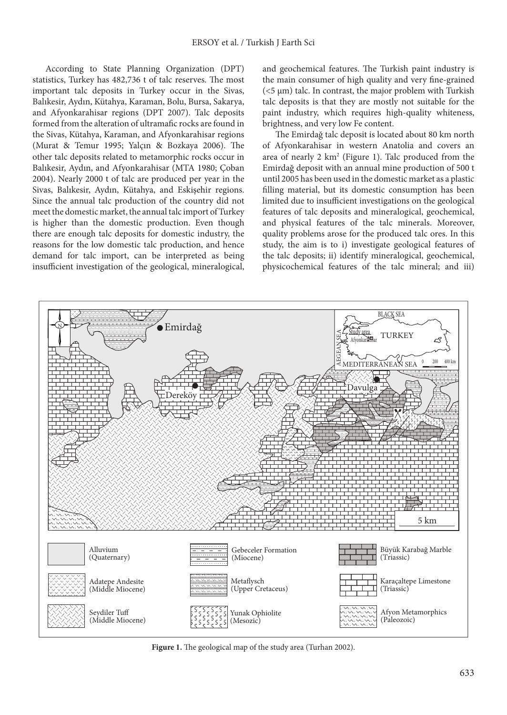According to State Planning Organization (DPT) statistics, Turkey has 482,736 t of talc reserves. The most important talc deposits in Turkey occur in the Sivas, Balıkesir, Aydın, Kütahya, Karaman, Bolu, Bursa, Sakarya, and Afyonkarahisar regions (DPT 2007). Talc deposits formed from the alteration of ultramafic rocks are found in the Sivas, Kütahya, Karaman, and Afyonkarahisar regions (Murat & Temur 1995; Yalçın & Bozkaya 2006). The other talc deposits related to metamorphic rocks occur in Balıkesir, Aydın, and Afyonkarahisar (MTA 1980; Çoban 2004). Nearly 2000 t of talc are produced per year in the Sivas, Balıkesir, Aydın, Kütahya, and Eskişehir regions. Since the annual talc production of the country did not meet the domestic market, the annual talc import of Turkey is higher than the domestic production. Even though there are enough talc deposits for domestic industry, the reasons for the low domestic talc production, and hence demand for talc import, can be interpreted as being insufficient investigation of the geological, mineralogical, and geochemical features. The Turkish paint industry is the main consumer of high quality and very fine-grained  $(<5 \mu m)$  talc. In contrast, the major problem with Turkish talc deposits is that they are mostly not suitable for the paint industry, which requires high-quality whiteness, brightness, and very low Fe content.

The Emirdağ talc deposit is located about 80 km north of Afyonkarahisar in western Anatolia and covers an area of nearly 2 km2 (Figure 1). Talc produced from the Emirdağ deposit with an annual mine production of 500 t until 2005 has been used in the domestic market as a plastic filling material, but its domestic consumption has been limited due to insufficient investigations on the geological features of talc deposits and mineralogical, geochemical, and physical features of the talc minerals. Moreover, quality problems arose for the produced talc ores. In this study, the aim is to i) investigate geological features of the talc deposits; ii) identify mineralogical, geochemical, physicochemical features of the talc mineral; and iii)



**Figure 1.** The geological map of the study area (Turhan 2002).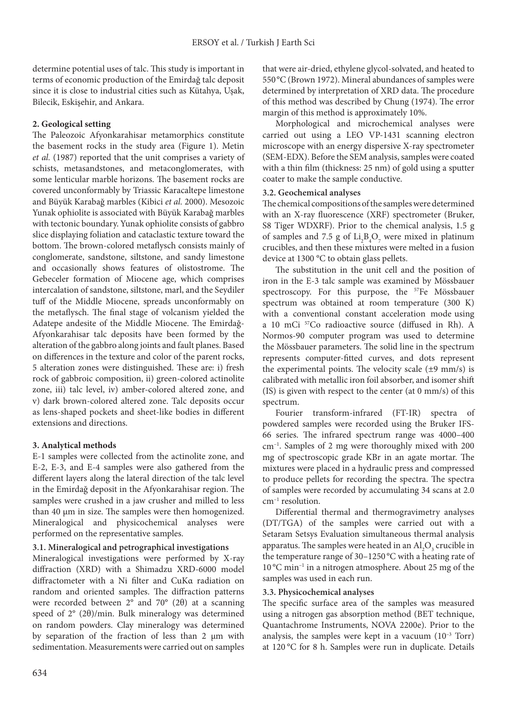determine potential uses of talc. This study is important in terms of economic production of the Emirdağ talc deposit since it is close to industrial cities such as Kütahya, Uşak, Bilecik, Eskişehir, and Ankara.

# **2. Geological setting**

The Paleozoic Afyonkarahisar metamorphics constitute the basement rocks in the study area (Figure 1). Metin *et al.* (1987) reported that the unit comprises a variety of schists, metasandstones, and metaconglomerates, with some lenticular marble horizons. The basement rocks are covered unconformably by Triassic Karacaltepe limestone and Büyük Karabağ marbles (Kibici *et al.* 2000). Mesozoic Yunak ophiolite is associated with Büyük Karabağ marbles with tectonic boundary. Yunak ophiolite consists of gabbro slice displaying foliation and cataclastic texture toward the bottom. The brown-colored metaflysch consists mainly of conglomerate, sandstone, siltstone, and sandy limestone and occasionally shows features of olistostrome. The Gebeceler formation of Miocene age, which comprises intercalation of sandstone, siltstone, marl, and the Seydiler tuff of the Middle Miocene, spreads unconformably on the metaflysch. The final stage of volcanism yielded the Adatepe andesite of the Middle Miocene. The Emirdağ-Afyonkarahisar talc deposits have been formed by the alteration of the gabbro along joints and fault planes. Based on differences in the texture and color of the parent rocks, 5 alteration zones were distinguished. These are: i) fresh rock of gabbroic composition, ii) green-colored actinolite zone, iii) talc level, iv) amber-colored altered zone, and v) dark brown-colored altered zone. Talc deposits occur as lens-shaped pockets and sheet-like bodies in different extensions and directions.

## **3. Analytical methods**

E-1 samples were collected from the actinolite zone, and E-2, E-3, and E-4 samples were also gathered from the different layers along the lateral direction of the talc level in the Emirdağ deposit in the Afyonkarahisar region. The samples were crushed in a jaw crusher and milled to less than 40 µm in size. The samples were then homogenized. Mineralogical and physicochemical analyses were performed on the representative samples.

## **3.1. Mineralogical and petrographical investigations**

Mineralogical investigations were performed by X-ray diffraction (XRD) with a Shimadzu XRD-6000 model diffractometer with a Ni filter and CuKα radiation on random and oriented samples. The diffraction patterns were recorded between 2° and 70° (2θ) at a scanning speed of 2° (2θ)/min. Bulk mineralogy was determined on random powders. Clay mineralogy was determined by separation of the fraction of less than 2 µm with sedimentation. Measurements were carried out on samples that were air-dried, ethylene glycol-solvated, and heated to 550°C (Brown 1972). Mineral abundances of samples were determined by interpretation of XRD data. The procedure of this method was described by Chung (1974). The error margin of this method is approximately 10%.

Morphological and microchemical analyses were carried out using a LEO VP-1431 scanning electron microscope with an energy dispersive X-ray spectrometer (SEM-EDX). Before the SEM analysis, samples were coated with a thin film (thickness: 25 nm) of gold using a sputter coater to make the sample conductive.

## **3.2. Geochemical analyses**

The chemical compositions of the samples were determined with an X-ray fluorescence (XRF) spectrometer (Bruker, S8 Tiger WDXRF). Prior to the chemical analysis, 1.5 g of samples and 7.5 g of  $\text{Li}_2\text{B}_4\text{O}_7$  were mixed in platinum crucibles, and then these mixtures were melted in a fusion device at 1300 °C to obtain glass pellets.

The substitution in the unit cell and the position of iron in the E-3 talc sample was examined by Mössbauer spectroscopy. For this purpose, the <sup>57</sup>Fe Mössbauer spectrum was obtained at room temperature (300 K) with a conventional constant acceleration mode using a 10 mCi 57Co radioactive source (diffused in Rh). A Normos-90 computer program was used to determine the Mössbauer parameters. The solid line in the spectrum represents computer-fitted curves, and dots represent the experimental points. The velocity scale  $(\pm 9 \text{ mm/s})$  is calibrated with metallic iron foil absorber, and isomer shift (IS) is given with respect to the center (at 0 mm/s) of this spectrum.

Fourier transform-infrared (FT-IR) spectra of powdered samples were recorded using the Bruker IFS-66 series. The infrared spectrum range was 4000–400 cm–1. Samples of 2 mg were thoroughly mixed with 200 mg of spectroscopic grade KBr in an agate mortar. The mixtures were placed in a hydraulic press and compressed to produce pellets for recording the spectra. The spectra of samples were recorded by accumulating 34 scans at 2.0 cm–1 resolution.

Differential thermal and thermogravimetry analyses (DT/TGA) of the samples were carried out with a Setaram Setsys Evaluation simultaneous thermal analysis apparatus. The samples were heated in an  $\mathrm{Al}_2\mathrm{O}_3$  crucible in the temperature range of 30–1250 °C with a heating rate of 10 °C min–1 in a nitrogen atmosphere. About 25 mg of the samples was used in each run.

## **3.3. Physicochemical analyses**

The specific surface area of the samples was measured using a nitrogen gas absorption method (BET technique, Quantachrome Instruments, NOVA 2200e). Prior to the analysis, the samples were kept in a vacuum  $(10^{-3}$  Torr) at 120 °C for 8 h. Samples were run in duplicate. Details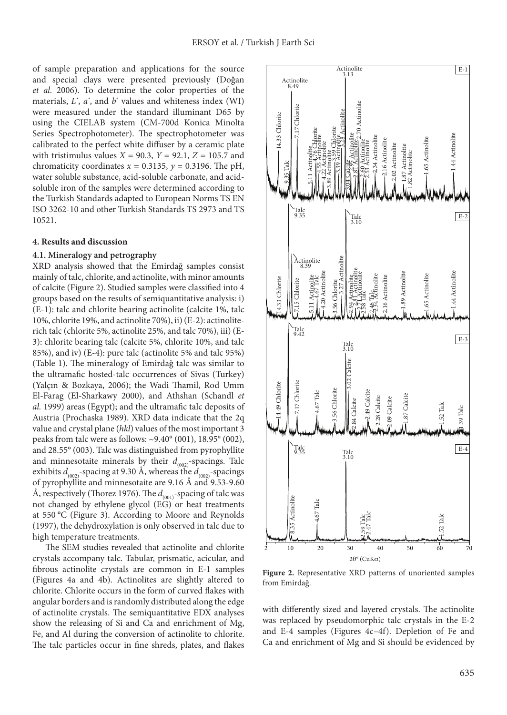of sample preparation and applications for the source and special clays were presented previously (Doğan *et al.* 2006). To determine the color properties of the materials, *L\** , *a\** , and *b*\* values and whiteness index (WI) were measured under the standard illuminant D65 by using the CIELAB system (CM-700d Konica Minolta Series Spectrophotometer). The spectrophotometer was calibrated to the perfect white diffuser by a ceramic plate with tristimulus values *X* = 90.3, *Y* = 92.1, *Z* = 105.7 and chromaticity coordinates  $x = 0.3135$ ,  $y = 0.3196$ . The pH, water soluble substance, acid-soluble carbonate, and acidsoluble iron of the samples were determined according to the Turkish Standards adapted to European Norms TS EN ISO 3262-10 and other Turkish Standards TS 2973 and TS 10521.

#### **4. Results and discussion**

#### **4.1. Mineralogy and petrography**

XRD analysis showed that the Emirdağ samples consist mainly of talc, chlorite, and actinolite, with minor amounts of calcite (Figure 2). Studied samples were classified into 4 groups based on the results of semiquantitative analysis: i) (E-1): talc and chlorite bearing actinolite (calcite 1%, talc 10%, chlorite 19%, and actinolite 70%), ii) (E-2): actinoliterich talc (chlorite 5%, actinolite 25%, and talc 70%), iii) (E-3): chlorite bearing talc (calcite 5%, chlorite 10%, and talc 85%), and iv) (E-4): pure talc (actinolite 5% and talc 95%) (Table 1). The mineralogy of Emirdağ talc was similar to the ultramafic hosted-talc occurrences of Sivas (Turkey) (Yalçın & Bozkaya, 2006); the Wadi Thamil, Rod Umm El-Farag (El-Sharkawy 2000), and Athshan (Schandl *et al.* 1999) areas (Egypt); and the ultramafic talc deposits of Austria (Prochaska 1989). XRD data indicate that the 2q value and crystal plane (*hkl*) values of the most important 3 peaks from talc were as follows: ~9.40° (001), 18.95° (002), and 28.55° (003). Talc was distinguished from pyrophyllite and minnesotaite minerals by their  $d_{(002)}$ -spacings. Talc exhibits  $d_{(002)}$ -spacing at 9.30 Å, whereas the  $d_{(002)}$ -spacings of pyrophyllite and minnesotaite are 9.16 Å and 9.53-9.60 Å, respectively (Thorez 1976). The  $d_{(001)}$ -spacing of talc was not changed by ethylene glycol (EG) or heat treatments at 550 °C (Figure 3). According to Moore and Reynolds (1997), the dehydroxylation is only observed in talc due to high temperature treatments.

The SEM studies revealed that actinolite and chlorite crystals accompany talc. Tabular, prismatic, acicular, and fibrous actinolite crystals are common in E-1 samples (Figures 4a and 4b). Actinolites are slightly altered to chlorite. Chlorite occurs in the form of curved flakes with angular borders and is randomly distributed along the edge of actinolite crystals. The semiquantitative EDX analyses show the releasing of Si and Ca and enrichment of Mg, Fe, and Al during the conversion of actinolite to chlorite. The talc particles occur in fine shreds, plates, and flakes



**Figure 2.** Representative XRD patterns of unoriented samples from Emirdağ.

with differently sized and layered crystals. The actinolite was replaced by pseudomorphic talc crystals in the E-2 and E-4 samples (Figures 4c–4f). Depletion of Fe and Ca and enrichment of Mg and Si should be evidenced by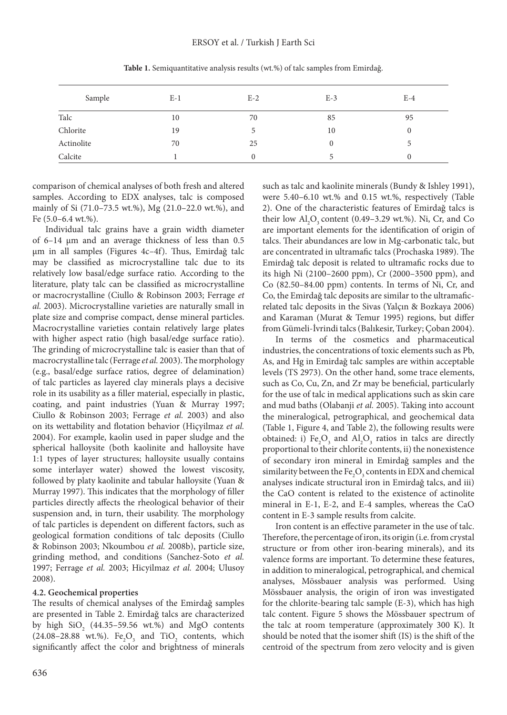| Sample     | $E-1$ | $E-2$ | $E-3$    | $E-4$    |
|------------|-------|-------|----------|----------|
| Talc       | 10    | 70    | 85       | 95       |
| Chlorite   | 19    |       | 10       | $\theta$ |
| Actinolite | 70    | 25    | $\theta$ |          |
| Calcite    |       |       |          |          |

**Table 1.** Semiquantitative analysis results (wt.%) of talc samples from Emirdağ.

comparison of chemical analyses of both fresh and altered samples. According to EDX analyses, talc is composed mainly of Si (71.0–73.5 wt.%), Mg (21.0–22.0 wt.%), and Fe (5.0–6.4 wt.%).

Individual talc grains have a grain width diameter of 6–14 µm and an average thickness of less than 0.5 µm in all samples (Figures 4c–4f). Thus, Emirdağ talc may be classified as microcrystalline talc due to its relatively low basal/edge surface ratio. According to the literature, platy talc can be classified as microcrystalline or macrocrystalline (Ciullo & Robinson 2003; Ferrage *et al.* 2003). Microcrystalline varieties are naturally small in plate size and comprise compact, dense mineral particles. Macrocrystalline varieties contain relatively large plates with higher aspect ratio (high basal/edge surface ratio). The grinding of microcrystalline talc is easier than that of macrocrystalline talc (Ferrage *et al.* 2003). The morphology (e.g., basal/edge surface ratios, degree of delamination) of talc particles as layered clay minerals plays a decisive role in its usability as a filler material, especially in plastic, coating, and paint industries (Yuan & Murray 1997; Ciullo & Robinson 2003; Ferrage *et al.* 2003) and also on its wettability and flotation behavior (Hiçyilmaz *et al.*  2004). For example, kaolin used in paper sludge and the spherical halloysite (both kaolinite and halloysite have 1:1 types of layer structures; halloysite usually contains some interlayer water) showed the lowest viscosity, followed by platy kaolinite and tabular halloysite (Yuan & Murray 1997). This indicates that the morphology of filler particles directly affects the rheological behavior of their suspension and, in turn, their usability. The morphology of talc particles is dependent on different factors, such as geological formation conditions of talc deposits (Ciullo & Robinson 2003; Nkoumbou *et al.* 2008b), particle size, grinding method, and conditions (Sanchez-Soto *et al.*  1997; Ferrage *et al.* 2003; Hicyilmaz *et al.* 2004; Ulusoy 2008).

#### **4.2. Geochemical properties**

The results of chemical analyses of the Emirdağ samples are presented in Table 2. Emirdağ talcs are characterized by high  $\text{SiO}_2$  (44.35–59.56 wt.%) and MgO contents  $(24.08-28.88 \text{ wt.})$ . Fe<sub>2</sub>O<sub>3</sub> and TiO<sub>2</sub> contents, which significantly affect the color and brightness of minerals

such as talc and kaolinite minerals (Bundy & Ishley 1991), were 5.40–6.10 wt.% and 0.15 wt.%, respectively (Table 2). One of the characteristic features of Emirdağ talcs is their low  $\text{Al}_2\text{O}_3$  content (0.49–3.29 wt.%). Ni, Cr, and Co are important elements for the identification of origin of talcs. Their abundances are low in Mg-carbonatic talc, but are concentrated in ultramafic talcs (Prochaska 1989). The Emirdağ talc deposit is related to ultramafic rocks due to its high Ni (2100–2600 ppm), Cr (2000–3500 ppm), and Co (82.50–84.00 ppm) contents. In terms of Ni, Cr, and Co, the Emirdağ talc deposits are similar to the ultramaficrelated talc deposits in the Sivas (Yalçın & Bozkaya 2006) and Karaman (Murat & Temur 1995) regions, but differ from Gümeli-İvrindi talcs (Balıkesir, Turkey; Çoban 2004).

In terms of the cosmetics and pharmaceutical industries, the concentrations of toxic elements such as Pb, As, and Hg in Emirdağ talc samples are within acceptable levels (TS 2973). On the other hand, some trace elements, such as Co, Cu, Zn, and Zr may be beneficial, particularly for the use of talc in medical applications such as skin care and mud baths (Olabanji *et al.* 2005). Taking into account the mineralogical, petrographical, and geochemical data (Table 1, Figure 4, and Table 2), the following results were obtained: i)  $Fe<sub>2</sub>O<sub>3</sub>$  and  $Al<sub>2</sub>O<sub>3</sub>$  ratios in talcs are directly proportional to their chlorite contents, ii) the nonexistence of secondary iron mineral in Emirdağ samples and the similarity between the  $\text{Fe}_{2}\text{O}_{3}$  contents in EDX and chemical analyses indicate structural iron in Emirdağ talcs, and iii) the CaO content is related to the existence of actinolite mineral in E-1, E-2, and E-4 samples, whereas the CaO content in E-3 sample results from calcite.

Iron content is an effective parameter in the use of talc. Therefore, the percentage of iron, its origin (i.e. from crystal structure or from other iron-bearing minerals), and its valence forms are important. To determine these features, in addition to mineralogical, petrographical, and chemical analyses, Mössbauer analysis was performed. Using Mössbauer analysis, the origin of iron was investigated for the chlorite-bearing talc sample (E-3), which has high talc content. Figure 5 shows the Mössbauer spectrum of the talc at room temperature (approximately 300 K). It should be noted that the isomer shift (IS) is the shift of the centroid of the spectrum from zero velocity and is given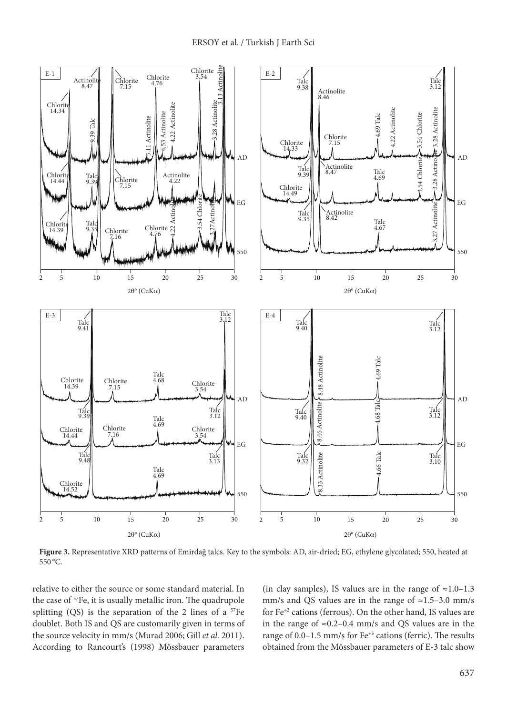

**Figure 3.** Representative XRD patterns of Emirdağ talcs. Key to the symbols: AD, air-dried; EG, ethylene glycolated; 550, heated at 550 °C.

relative to either the source or some standard material. In the case of <sup>57</sup>Fe, it is usually metallic iron. The quadrupole splitting  $(QS)$  is the separation of the 2 lines of a  $57Fe$ doublet. Both IS and QS are customarily given in terms of the source velocity in mm/s (Murad 2006; Gill *et al.* 2011). According to Rancourt's (1998) Mössbauer parameters

(in clay samples), IS values are in the range of  $\approx 1.0-1.3$ mm/s and QS values are in the range of  $\approx$ 1.5–3.0 mm/s for Fe+2 cations (ferrous). On the other hand, IS values are in the range of ≈0.2–0.4 mm/s and QS values are in the range of 0.0–1.5 mm/s for Fe<sup>+3</sup> cations (ferric). The results obtained from the Mössbauer parameters of E-3 talc show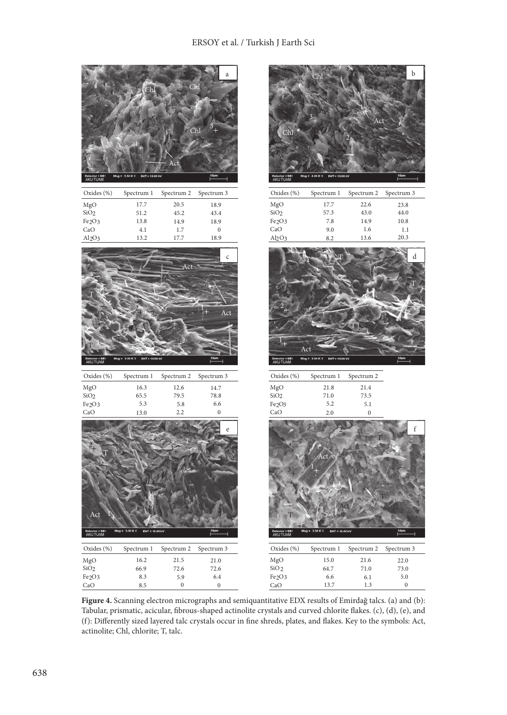# ERSOY et al. / Turkish J Earth Sci



**Figure 4.** Scanning electron micrographs and semiquantitative EDX results of Emirdağ talcs. (a) and (b): Tabular, prismatic, acicular, fibrous-shaped actinolite crystals and curved chlorite flakes. (c), (d), (e), and (f): Differently sized layered talc crystals occur in fine shreds, plates, and flakes. Key to the symbols: Act, actinolite; Chl, chlorite; T, talc.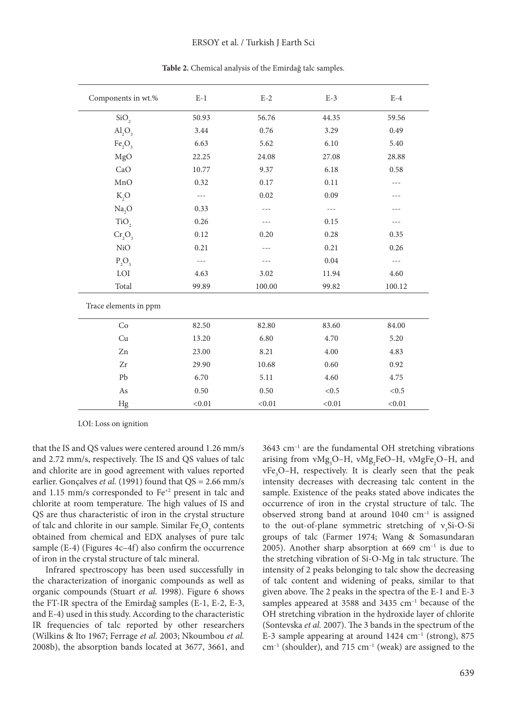| Components in wt.%             | $E-1$  | $E-2$  | $E-3$    | $E-4$  |
|--------------------------------|--------|--------|----------|--------|
| SiO <sub>2</sub>               | 50.93  | 56.76  | 44.35    | 59.56  |
| AI <sub>2</sub> O <sub>3</sub> | 3.44   | 0.76   | 3.29     | 0.49   |
| Fe <sub>2</sub> O <sub>3</sub> | 6.63   | 5.62   | 6.10     | 5.40   |
| MgO                            | 22.25  | 24.08  | 27.08    | 28.88  |
| CaO                            | 10.77  | 9.37   | 6.18     | 0.58   |
| MnO                            | 0.32   | 0.17   | 0.11     | $---$  |
| $K_2O$                         |        | 0.02   | 0.09     |        |
| Na <sub>2</sub> O              | 0.33   |        | $---$    | ---    |
| TiO <sub>2</sub>               | 0.26   |        | 0.15     | $---$  |
| $Cr_2O_3$                      | 0.12   | 0.20   | 0.28     | 0.35   |
| NiO                            | 0.21   |        | 0.21     | 0.26   |
| $P_2O_5$                       |        |        | $0.04\,$ | $---$  |
| $\rm LOI$                      | 4.63   | 3.02   | 11.94    | 4.60   |
| Total                          | 99.89  | 100.00 | 99.82    | 100.12 |
| Trace elements in ppm          |        |        |          |        |
| Co                             | 82.50  | 82.80  | 83.60    | 84.00  |
| Cu                             | 13.20  | 6.80   | 4.70     | 5.20   |
| Zn                             | 23.00  | 8.21   | 4.00     | 4.83   |
| Zr                             | 29.90  | 10.68  | 0.60     | 0.92   |
| Pb                             | 6.70   | 5.11   | 4.60     | 4.75   |
| As                             | 0.50   | 0.50   | < 0.5    | < 0.5  |
| Hg                             | < 0.01 | < 0.01 | < 0.01   | < 0.01 |

**Table 2.** Chemical analysis of the Emirdağ talc samples.

LOI: Loss on ignition

that the IS and QS values were centered around 1.26 mm/s and 2.72 mm/s, respectively. The IS and QS values of talc and chlorite are in good agreement with values reported earlier. Gonçalves *et al.* (1991) found that QS = 2.66 mm/s and 1.15 mm/s corresponded to Fe+2 present in talc and chlorite at room temperature. The high values of IS and QS are thus characteristic of iron in the crystal structure of talc and chlorite in our sample. Similar  $\text{Fe}_2\text{O}_3$  contents obtained from chemical and EDX analyses of pure talc sample (E-4) (Figures 4c–4f) also confirm the occurrence of iron in the crystal structure of talc mineral.

Infrared spectroscopy has been used successfully in the characterization of inorganic compounds as well as organic compounds (Stuart *et al.* 1998). Figure 6 shows the FT-IR spectra of the Emirdağ samples (E-1, E-2, E-3, and E-4) used in this study. According to the characteristic IR frequencies of talc reported by other researchers (Wilkins & Ito 1967; Ferrage *et al.* 2003; Nkoumbou *et al.*  2008b), the absorption bands located at 3677, 3661, and

3643 cm–1 are the fundamental OH stretching vibrations arising from vMg<sub>3</sub>O–H, vMg<sub>2</sub>FeO–H, vMgFe<sub>2</sub>O–H, and νFe<sub>3</sub>O–H, respectively. It is clearly seen that the peak intensity decreases with decreasing talc content in the sample. Existence of the peaks stated above indicates the occurrence of iron in the crystal structure of talc. The observed strong band at around 1040 cm–1 is assigned to the out-of-plane symmetric stretching of  $v_3$ Si-O-Si groups of talc (Farmer 1974; Wang & Somasundaran 2005). Another sharp absorption at  $669 \text{ cm}^{-1}$  is due to the stretching vibration of Si-O-Mg in talc structure. The intensity of 2 peaks belonging to talc show the decreasing of talc content and widening of peaks, similar to that given above. The 2 peaks in the spectra of the E-1 and E-3 samples appeared at 3588 and 3435 cm<sup>-1</sup> because of the OH stretching vibration in the hydroxide layer of chlorite (Sontevska *et al.* 2007). The 3 bands in the spectrum of the E-3 sample appearing at around  $1424 \text{ cm}^{-1}$  (strong), 875  $cm^{-1}$  (shoulder), and 715  $cm^{-1}$  (weak) are assigned to the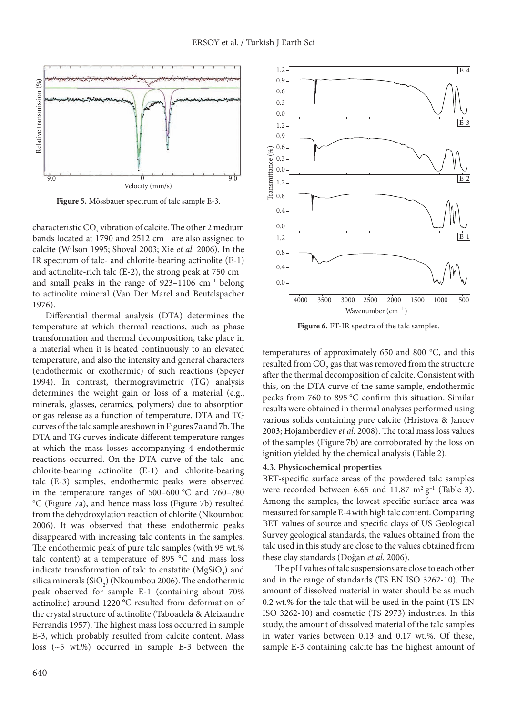

**Figure 5.** Mössbauer spectrum of talc sample E-3.

characteristic  $\text{CO}_3$  vibration of calcite. The other 2 medium bands located at 1790 and 2512 cm<sup>-1</sup> are also assigned to calcite (Wilson 1995; Shoval 2003; Xie *et al.* 2006). In the IR spectrum of talc- and chlorite-bearing actinolite (E-1) and actinolite-rich talc (E-2), the strong peak at  $750 \text{ cm}^{-1}$ and small peaks in the range of  $923-1106$  cm<sup>-1</sup> belong to actinolite mineral (Van Der Marel and Beutelspacher 1976).

Differential thermal analysis (DTA) determines the temperature at which thermal reactions, such as phase transformation and thermal decomposition, take place in a material when it is heated continuously to an elevated temperature, and also the intensity and general characters (endothermic or exothermic) of such reactions (Speyer 1994). In contrast, thermogravimetric (TG) analysis determines the weight gain or loss of a material (e.g., minerals, glasses, ceramics, polymers) due to absorption or gas release as a function of temperature. DTA and TG curves of the talc sample are shown in Figures 7a and 7b. The DTA and TG curves indicate different temperature ranges at which the mass losses accompanying 4 endothermic reactions occurred. On the DTA curve of the talc- and chlorite-bearing actinolite (E-1) and chlorite-bearing talc (E-3) samples, endothermic peaks were observed in the temperature ranges of 500–600 °C and 760–780 °C (Figure 7a), and hence mass loss (Figure 7b) resulted from the dehydroxylation reaction of chlorite (Nkoumbou 2006). It was observed that these endothermic peaks disappeared with increasing talc contents in the samples. The endothermic peak of pure talc samples (with 95 wt.% talc content) at a temperature of 895 °C and mass loss indicate transformation of talc to enstatite  $(MgSiO<sub>3</sub>)$  and silica minerals (SiO<sub>2</sub>) (Nkoumbou 2006). The endothermic peak observed for sample E-1 (containing about 70% actinolite) around 1220 °C resulted from deformation of the crystal structure of actinolite (Taboadela & Aleixandre Ferrandis 1957). The highest mass loss occurred in sample E-3, which probably resulted from calcite content. Mass loss (~5 wt.%) occurred in sample E-3 between the



**Figure 6.** FT-IR spectra of the talc samples.

temperatures of approximately 650 and 800 °C, and this resulted from  $\mathrm{CO}_\mathrm{2}$  gas that was removed from the structure after the thermal decomposition of calcite. Consistent with this, on the DTA curve of the same sample, endothermic peaks from 760 to 895 °C confirm this situation. Similar results were obtained in thermal analyses performed using various solids containing pure calcite (Hristova & Jancev 2003; Hojamberdiev *et al.* 2008). The total mass loss values of the samples (Figure 7b) are corroborated by the loss on ignition yielded by the chemical analysis (Table 2).

#### **4.3. Physicochemical properties**

BET-specific surface areas of the powdered talc samples were recorded between 6.65 and 11.87  $m^2 g^{-1}$  (Table 3). Among the samples, the lowest specific surface area was measured for sample E-4 with high talc content. Comparing BET values of source and specific clays of US Geological Survey geological standards, the values obtained from the talc used in this study are close to the values obtained from these clay standards (Doğan *et al.* 2006).

The pH values of talc suspensions are close to each other and in the range of standards (TS EN ISO 3262-10). The amount of dissolved material in water should be as much 0.2 wt.% for the talc that will be used in the paint (TS EN ISO 3262-10) and cosmetic (TS 2973) industries. In this study, the amount of dissolved material of the talc samples in water varies between 0.13 and 0.17 wt.%. Of these, sample E-3 containing calcite has the highest amount of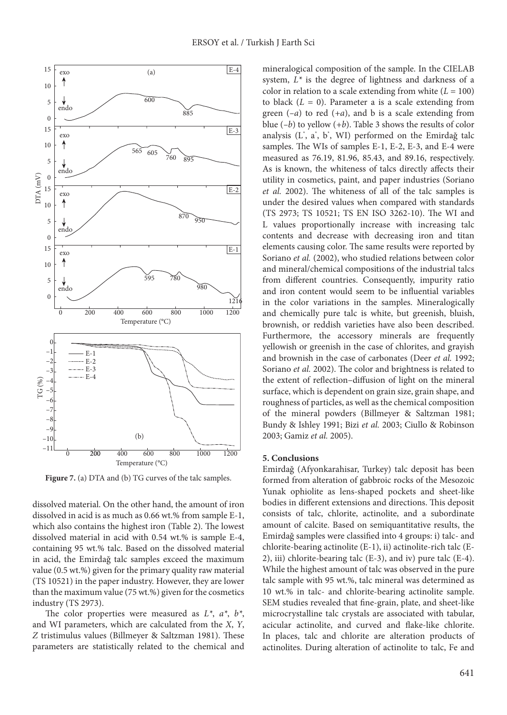

Figure 7. (a) DTA and (b) TG curves of the talc samples.

dissolved material. On the other hand, the amount of iron dissolved in acid is as much as 0.66 wt.% from sample E-1, which also contains the highest iron (Table 2). The lowest dissolved material in acid with 0.54 wt.% is sample E-4, containing 95 wt.% talc. Based on the dissolved material in acid, the Emirdağ talc samples exceed the maximum value (0.5 wt.%) given for the primary quality raw material (TS 10521) in the paper industry. However, they are lower than the maximum value (75 wt.%) given for the cosmetics industry (TS 2973).

The color properties were measured as *L\**, *a\**, *b\**, and WI parameters, which are calculated from the *X*, *Y*, *Z* tristimulus values (Billmeyer & Saltzman 1981). These parameters are statistically related to the chemical and

mineralogical composition of the sample. In the CIELAB system, *L\** is the degree of lightness and darkness of a color in relation to a scale extending from white (*L* = 100) to black  $(L = 0)$ . Parameter a is a scale extending from green (*–a*) to red (*+a*), and b is a scale extending from blue (*–b*) to yellow (*+b*). Table 3 shows the results of color analysis (L\* , a\* , b\* , WI) performed on the Emirdağ talc samples. The WIs of samples E-1, E-2, E-3, and E-4 were measured as 76.19, 81.96, 85.43, and 89.16, respectively. As is known, the whiteness of talcs directly affects their utility in cosmetics, paint, and paper industries (Soriano *et al.* 2002). The whiteness of all of the talc samples is under the desired values when compared with standards (TS 2973; TS 10521; TS EN ISO 3262-10). The WI and L values proportionally increase with increasing talc contents and decrease with decreasing iron and titan elements causing color. The same results were reported by Soriano *et al.* (2002), who studied relations between color and mineral/chemical compositions of the industrial talcs from different countries. Consequently, impurity ratio and iron content would seem to be influential variables in the color variations in the samples. Mineralogically and chemically pure talc is white, but greenish, bluish, brownish, or reddish varieties have also been described. Furthermore, the accessory minerals are frequently yellowish or greenish in the case of chlorites, and grayish and brownish in the case of carbonates (Deer *et al.* 1992; Soriano *et al.* 2002). The color and brightness is related to the extent of reflection–diffusion of light on the mineral surface, which is dependent on grain size, grain shape, and roughness of particles, as well as the chemical composition of the mineral powders (Billmeyer & Saltzman 1981; Bundy & Ishley 1991; Bizi *et al.* 2003; Ciullo & Robinson 2003; Gamiz *et al.* 2005).

#### **5. Conclusions**

Emirdağ (Afyonkarahisar, Turkey) talc deposit has been formed from alteration of gabbroic rocks of the Mesozoic Yunak ophiolite as lens-shaped pockets and sheet-like bodies in different extensions and directions. This deposit consists of talc, chlorite, actinolite, and a subordinate amount of calcite. Based on semiquantitative results, the Emirdağ samples were classified into 4 groups: i) talc- and chlorite-bearing actinolite (E-1), ii) actinolite-rich talc (E-2), iii) chlorite-bearing talc (E-3), and iv) pure talc (E-4). While the highest amount of talc was observed in the pure talc sample with 95 wt.%, talc mineral was determined as 10 wt.% in talc- and chlorite-bearing actinolite sample. SEM studies revealed that fine-grain, plate, and sheet-like microcrystalline talc crystals are associated with tabular, acicular actinolite, and curved and flake-like chlorite. In places, talc and chlorite are alteration products of actinolites. During alteration of actinolite to talc, Fe and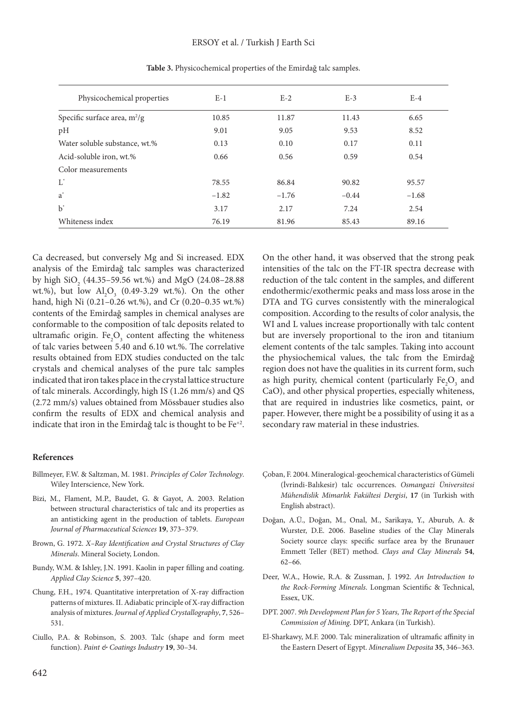| Physicochemical properties     | $E-1$   | $E-2$   | $E-3$   | $E-4$   |
|--------------------------------|---------|---------|---------|---------|
| Specific surface area, $m^2/g$ | 10.85   | 11.87   | 11.43   | 6.65    |
| pH                             | 9.01    | 9.05    | 9.53    | 8.52    |
| Water soluble substance, wt.%  | 0.13    | 0.10    | 0.17    | 0.11    |
| Acid-soluble iron, wt.%        | 0.66    | 0.56    | 0.59    | 0.54    |
| Color measurements             |         |         |         |         |
| $L^*$                          | 78.55   | 86.84   | 90.82   | 95.57   |
| $a^*$                          | $-1.82$ | $-1.76$ | $-0.44$ | $-1.68$ |
| $h^*$                          | 3.17    | 2.17    | 7.24    | 2.54    |
| Whiteness index                | 76.19   | 81.96   | 85.43   | 89.16   |

**Table 3.** Physicochemical properties of the Emirdağ talc samples.

Ca decreased, but conversely Mg and Si increased. EDX analysis of the Emirdağ talc samples was characterized by high  $\text{SiO}_2$  (44.35–59.56 wt.%) and MgO (24.08–28.88 wt.%), but low  $\text{Al}_2\text{O}_3$  (0.49-3.29 wt.%). On the other hand, high Ni (0.21–0.26 wt.%), and Cr (0.20–0.35 wt.%) contents of the Emirdağ samples in chemical analyses are conformable to the composition of talc deposits related to ultramafic origin.  $Fe<sub>2</sub>O<sub>3</sub>$  content affecting the whiteness of talc varies between 5.40 and 6.10 wt.%. The correlative results obtained from EDX studies conducted on the talc crystals and chemical analyses of the pure talc samples indicated that iron takes place in the crystal lattice structure of talc minerals. Accordingly, high IS (1.26 mm/s) and QS (2.72 mm/s) values obtained from Mössbauer studies also confirm the results of EDX and chemical analysis and indicate that iron in the Emirdağ talc is thought to be Fe<sup>+2</sup>.

#### **References**

- Billmeyer, F.W. & Saltzman, M. 1981. *Principles of Color Technology*. Wiley Interscience, New York.
- Bizi, M., Flament, M.P., Baudet, G. & Gayot, A. 2003. Relation between structural characteristics of talc and its properties as an antisticking agent in the production of tablets. *European Journal of Pharmaceutical Sciences* **19**, 373–379.
- Brown, G. 1972. *X–Ray Identification and Crystal Structures of Clay Minerals*. Mineral Society, London.
- Bundy, W.M. & Ishley, J.N. 1991. Kaolin in paper filling and coating. *Applied Clay Science* **5**, 397–420.
- Chung, F.H., 1974. Quantitative interpretation of X-ray diffraction patterns of mixtures. II. Adiabatic principle of X-ray diffraction analysis of mixtures. *Journal of Applied Crystallography*, **7**, 526– 531.
- Ciullo, P.A. & Robinson, S. 2003. Talc (shape and form meet function). *Paint & Coatings Industry* **19**, 30–34.

On the other hand, it was observed that the strong peak intensities of the talc on the FT-IR spectra decrease with reduction of the talc content in the samples, and different endothermic/exothermic peaks and mass loss arose in the DTA and TG curves consistently with the mineralogical composition. According to the results of color analysis, the WI and L values increase proportionally with talc content but are inversely proportional to the iron and titanium element contents of the talc samples. Taking into account the physiochemical values, the talc from the Emirdağ region does not have the qualities in its current form, such as high purity, chemical content (particularly  $\text{Fe}_{2}\text{O}_{3}$  and CaO), and other physical properties, especially whiteness, that are required in industries like cosmetics, paint, or paper. However, there might be a possibility of using it as a secondary raw material in these industries.

- Çoban, F. 2004. Mineralogical-geochemical characteristics of Gümeli (İvrindi-Balıkesir) talc occurrences. *Osmangazi Üniversitesi Mühendislik Mimarlık Fakültesi Dergisi*, **17** (in Turkish with English abstract).
- Doğan, A.Ü., Doğan, M., Onal, M., Sarikaya, Y., Aburub, A. & Wurster, D.E. 2006. Baseline studies of the Clay Minerals Society source clays: specific surface area by the Brunauer Emmett Teller (BET) method. *Clays and Clay Minerals* **54**, 62–66.
- Deer, W.A., Howie, R.A. & Zussman, J. 1992. *An Introduction to the Rock-Forming Minerals*. Longman Scientific & Technical, Essex, UK.
- DPT. 2007. *9th Development Plan for 5 Years, The Report of the Special Commission of Mining*. DPT, Ankara (in Turkish).
- El-Sharkawy, M.F. 2000. Talc mineralization of ultramafic affinity in the Eastern Desert of Egypt. *Mineralium Deposita* **35**, 346–363.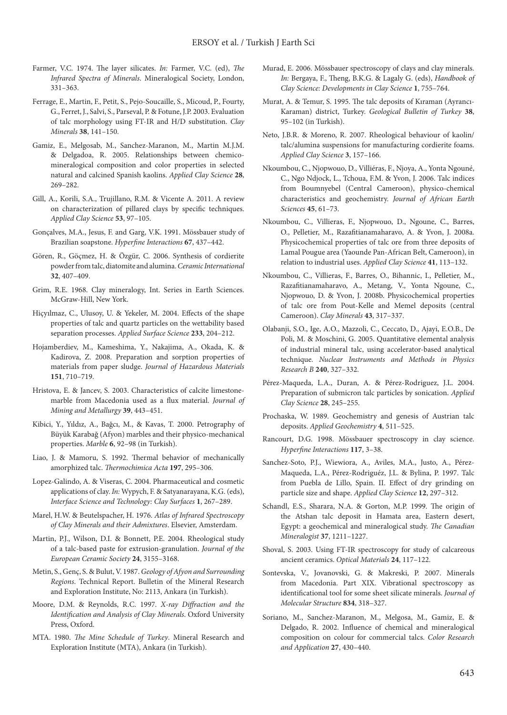- Farmer, V.C. 1974. The layer silicates. *In:* Farmer, V.C. (ed), *The Infrared Spectra of Minerals*. Mineralogical Society, London, 331–363.
- Ferrage, E., Martin, F., Petit, S., Pejo-Soucaille, S., Micoud, P., Fourty, G., Ferret, J., Salvi, S., Parseval, P. & Fotune, J.P. 2003. Evaluation of talc morphology using FT-IR and H/D substitution. *Clay Minerals* **38**, 141–150.
- Gamiz, E., Melgosab, M., Sanchez-Maranon, M., Martin M.J.M. & Delgadoa, R. 2005. Relationships between chemicomineralogical composition and color properties in selected natural and calcined Spanish kaolins. *Applied Clay Science* **28**, 269–282.
- Gill, A., Korili, S.A., Trujillano, R.M. & Vicente A. 2011. A review on characterization of pillared clays by specific techniques. *Applied Clay Science* **53**, 97–105.
- Gonçalves, M.A., Jesus, F. and Garg, V.K. 1991. Mössbauer study of Brazilian soapstone. *Hyperfine Interactions* **67**, 437–442.
- Gören, R., Göçmez, H. & Özgür, C. 2006. Synthesis of cordierite powder from talc, diatomite and alumina. *Ceramic International* **32**, 407–409.
- Grim, R.E. 1968. Clay mineralogy, Int. Series in Earth Sciences. McGraw-Hill, New York.
- Hiçyılmaz, C., Ulusoy, U. & Yekeler, M. 2004. Effects of the shape properties of talc and quartz particles on the wettability based separation processes. *Applied Surface Science* **233**, 204–212.
- Hojamberdiev, M., Kameshima, Y., Nakajima, A., Okada, K. & Kadirova, Z. 2008. Preparation and sorption properties of materials from paper sludge. *Journal of Hazardous Materials* **151**, 710–719.
- Hristova, E. & Jancev, S. 2003. Characteristics of calcite limestonemarble from Macedonia used as a flux material. *Journal of Mining and Metallurgy* **39**, 443–451.
- Kibici, Y., Yıldız, A., Bağcı, M., & Kavas, T. 2000. Petrography of Büyük Karabağ (Afyon) marbles and their physico-mechanical properties. *Marble* **6**, 92–98 (in Turkish).
- Liao, J. & Mamoru, S. 1992. Thermal behavior of mechanically amorphized talc. *Thermochimica Acta* **197**, 295–306.
- Lopez-Galindo, A. & Viseras, C. 2004. Pharmaceutical and cosmetic applications of clay. *In:* Wypych, F. & Satyanarayana, K.G. (eds), *Interface Science and Technology: Clay Surfaces* **1**, 267–289.
- Marel, H.W. & Beutelspacher, H. 1976. *Atlas of Infrared Spectroscopy of Clay Minerals and their Admixtures*. Elsevier, Amsterdam.
- Martin, P.J., Wilson, D.I. & Bonnett, P.E. 2004. Rheological study of a talc-based paste for extrusion-granulation. *Journal of the European Ceramic Society* **24**, 3155–3168.
- Metin, S., Genç, S. & Bulut, V. 1987. *Geology of Afyon and Surrounding Regions*. Technical Report. Bulletin of the Mineral Research and Exploration Institute, No: 2113, Ankara (in Turkish).
- Moore, D.M. & Reynolds, R.C. 1997. *X-ray Diffraction and the Identification and Analysis of Clay Minerals*. Oxford University Press, Oxford.
- MTA. 1980. *The Mine Schedule of Turkey*. Mineral Research and Exploration Institute (MTA), Ankara (in Turkish).
- Murad, E. 2006. Mössbauer spectroscopy of clays and clay minerals. *In:* Bergaya, F., Theng, B.K.G. & Lagaly G. (eds), *Handbook of Clay Science: Developments in Clay Science* **1**, 755–764.
- Murat, A. & Temur, S. 1995. The talc deposits of Kıraman (Ayrancı-Karaman) district, Turkey. *Geological Bulletin of Turkey* **38**, 95–102 (in Turkish).
- Neto, J.B.R. & Moreno, R. 2007. Rheological behaviour of kaolin/ talc/alumina suspensions for manufacturing cordierite foams. *Applied Clay Science* **3**, 157–166.
- Nkoumbou, C., Njopwouo, D., Villiéras, F., Njoya, A., Yonta Ngouné, C., Ngo Ndjock, L., Tchoua, F.M. & Yvon, J. 2006. Talc indices from Boumnyebel (Central Cameroon), physico-chemical characteristics and geochemistry. *Journal of African Earth Sciences* **45**, 61–73.
- Nkoumbou, C., Villieras, F., Njopwouo, D., Ngoune, C., Barres, O., Pelletier, M., Razafitianamaharavo, A. & Yvon, J. 2008a. Physicochemical properties of talc ore from three deposits of Lamal Pougue area (Yaounde Pan-African Belt, Cameroon), in relation to industrial uses. *Applied Clay Science* **41**, 113–132.
- Nkoumbou, C., Villieras, F., Barres, O., Bihannic, I., Pelletier, M., Razafitianamaharavo, A., Metang, V., Yonta Ngoune, C., Njopwouo, D. & Yvon, J. 2008b. Physicochemical properties of talc ore from Pout-Kelle and Memel deposits (central Cameroon). *Clay Minerals* **43**, 317–337.
- Olabanji, S.O., Ige, A.O., Mazzoli, C., Ceccato, D., Ajayi, E.O.B., De Poli, M. & Moschini, G. 2005. Quantitative elemental analysis of industrial mineral talc, using accelerator-based analytical technique. *Nuclear Instruments and Methods in Physics Research B* **240**, 327–332.
- Pérez-Maqueda, L.A., Duran, A. & Pérez-Rodriguez, J.L. 2004. Preparation of submicron talc particles by sonication. *Applied Clay Science* **28**, 245–255.
- Prochaska, W. 1989. Geochemistry and genesis of Austrian talc deposits. *Applied Geochemistry* **4**, 511–525.
- Rancourt, D.G. 1998. Mössbauer spectroscopy in clay science. *Hyperfine Interactions* **117**, 3–38.
- Sanchez-Soto, P.J., Wiewiora, A., Aviles, M.A., Justo, A., Pérez-Maqueda, L.A., Pérez-Rodriguéz, J.L. & Bylina, P. 1997. Talc from Puebla de Lillo, Spain. II. Effect of dry grinding on particle size and shape. *Applied Clay Science* **12**, 297–312.
- Schandl, E.S., Sharara, N.A. & Gorton, M.P. 1999. The origin of the Atshan talc deposit in Hamata area, Eastern desert, Egypt: a geochemical and mineralogical study. *The Canadian Mineralogist* **37**, 1211–1227.
- Shoval, S. 2003. Using FT-IR spectroscopy for study of calcareous ancient ceramics. *Optical Materials* **24**, 117–122.
- Sontevska, V., Jovanovski, G. & Makreski, P. 2007. Minerals from Macedonia. Part XIX. Vibrational spectroscopy as identificational tool for some sheet silicate minerals. *Journal of Molecular Structure* **834**, 318–327.
- Soriano, M., Sanchez-Maranon, M., Melgosa, M., Gamiz, E. & Delgado, R. 2002. Influence of chemical and mineralogical composition on colour for commercial talcs. *Color Research and Application* **27**, 430–440.